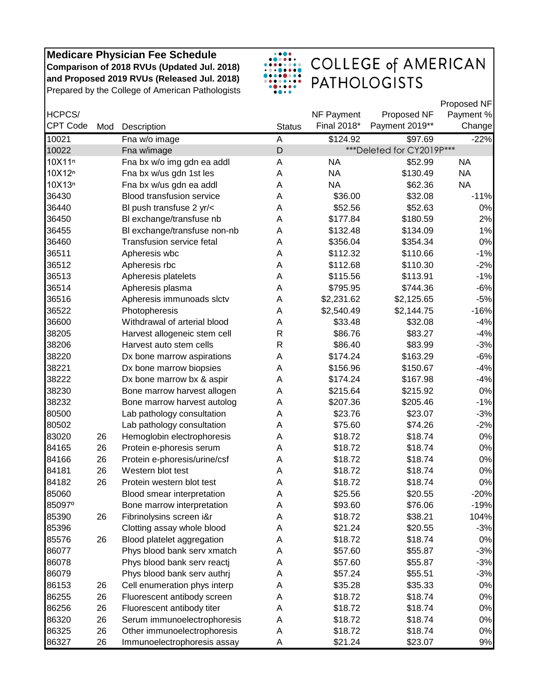

|                    |     |                                   |               |             |                           | Proposed NF |
|--------------------|-----|-----------------------------------|---------------|-------------|---------------------------|-------------|
| HCPCS/             |     |                                   |               | NF Payment  | Proposed NF               | Payment %   |
| <b>CPT Code</b>    | Mod | Description                       | <b>Status</b> | Final 2018* | Payment 2019**            | Change      |
| 10021              |     | Fna w/o image                     | Α             | \$124.92    | \$97.69                   | $-22%$      |
| 10022              |     | Fna w/image                       | D             |             | ***Deleted for CY2019P*** |             |
| 10X11 <sup>n</sup> |     | Fna bx w/o img gdn ea addl        | A             | <b>NA</b>   | \$52.99                   | <b>NA</b>   |
| 10X12 <sup>n</sup> |     | Fna bx w/us gdn 1st les           | Α             | <b>NA</b>   | \$130.49                  | <b>NA</b>   |
| 10X13 <sup>n</sup> |     | Fna bx w/us gdn ea addl           | Α             | <b>NA</b>   | \$62.36                   | <b>NA</b>   |
| 36430              |     | <b>Blood transfusion service</b>  | Α             | \$36.00     | \$32.08                   | $-11%$      |
| 36440              |     | BI push transfuse 2 yr/<          | Α             | \$52.56     | \$52.63                   | $0\%$       |
| 36450              |     | Bl exchange/transfuse nb          | Α             | \$177.84    | \$180.59                  | 2%          |
| 36455              |     | Bl exchange/transfuse non-nb      | A             | \$132.48    | \$134.09                  | 1%          |
| 36460              |     | <b>Transfusion service fetal</b>  | Α             | \$356.04    | \$354.34                  | $0\%$       |
| 36511              |     | Apheresis wbc                     | Α             | \$112.32    | \$110.66                  | $-1%$       |
| 36512              |     | Apheresis rbc                     | Α             | \$112.68    | \$110.30                  | $-2%$       |
| 36513              |     | Apheresis platelets               | Α             | \$115.56    | \$113.91                  | $-1%$       |
| 36514              |     | Apheresis plasma                  | Α             | \$795.95    | \$744.36                  | $-6%$       |
| 36516              |     | Apheresis immunoads slctv         | Α             | \$2,231.62  | \$2,125.65                | $-5%$       |
| 36522              |     | Photopheresis                     | A             | \$2,540.49  | \$2,144.75                | $-16%$      |
| 36600              |     | Withdrawal of arterial blood      | Α             | \$33.48     | \$32.08                   | $-4%$       |
| 38205              |     | Harvest allogeneic stem cell      | R             | \$86.76     | \$83.27                   | $-4%$       |
| 38206              |     | Harvest auto stem cells           | R             | \$86.40     | \$83.99                   | $-3%$       |
| 38220              |     | Dx bone marrow aspirations        | Α             | \$174.24    | \$163.29                  | $-6%$       |
| 38221              |     | Dx bone marrow biopsies           | Α             | \$156.96    | \$150.67                  | $-4%$       |
| 38222              |     | Dx bone marrow bx & aspir         | A             | \$174.24    | \$167.98                  | $-4%$       |
| 38230              |     | Bone marrow harvest allogen       | Α             | \$215.64    | \$215.92                  | $0\%$       |
| 38232              |     | Bone marrow harvest autolog       | Α             | \$207.36    | \$205.46                  | $-1%$       |
| 80500              |     | Lab pathology consultation        | Α             | \$23.76     | \$23.07                   | $-3%$       |
| 80502              |     | Lab pathology consultation        | Α             | \$75.60     | \$74.26                   | $-2%$       |
| 83020              | 26  | Hemoglobin electrophoresis        | Α             | \$18.72     | \$18.74                   | 0%          |
| 84165              | 26  | Protein e-phoresis serum          | Α             | \$18.72     | \$18.74                   | 0%          |
| 84166              | 26  | Protein e-phoresis/urine/csf      | Α             | \$18.72     | \$18.74                   | $0\%$       |
| 84181              | 26  | Western blot test                 | Α             | \$18.72     | \$18.74                   | $0\%$       |
| 84182              | 26  | Protein western blot test         | Α             | \$18.72     | \$18.74                   | 0%          |
| 85060              |     | <b>Blood smear interpretation</b> | Α             | \$25.56     | \$20.55                   | $-20%$      |
| 85097°             |     | Bone marrow interpretation        | Α             | \$93.60     | \$76.06                   | $-19%$      |
| 85390              | 26  | Fibrinolysins screen i&r          | Α             | \$18.72     | \$38.21                   | 104%        |
| 85396              |     | Clotting assay whole blood        | Α             | \$21.24     | \$20.55                   | $-3%$       |
| 85576              | 26  | Blood platelet aggregation        | Α             | \$18.72     | \$18.74                   | 0%          |
| 86077              |     | Phys blood bank serv xmatch       | Α             | \$57.60     | \$55.87                   | $-3%$       |
| 86078              |     | Phys blood bank serv reactj       | Α             | \$57.60     | \$55.87                   | $-3%$       |
| 86079              |     | Phys blood bank serv authrj       | Α             | \$57.24     | \$55.51                   | $-3%$       |
| 86153              | 26  | Cell enumeration phys interp      | Α             | \$35.28     | \$35.33                   | 0%          |
| 86255              | 26  | Fluorescent antibody screen       | Α             | \$18.72     | \$18.74                   | $0\%$       |
| 86256              | 26  | Fluorescent antibody titer        | Α             | \$18.72     | \$18.74                   | 0%          |
| 86320              | 26  | Serum immunoelectrophoresis       | Α             | \$18.72     | \$18.74                   | $0\%$       |
| 86325              | 26  | Other immunoelectrophoresis       | Α             | \$18.72     | \$18.74                   | 0%          |
| 86327              | 26  | Immunoelectrophoresis assay       | Α             | \$21.24     | \$23.07                   | 9%          |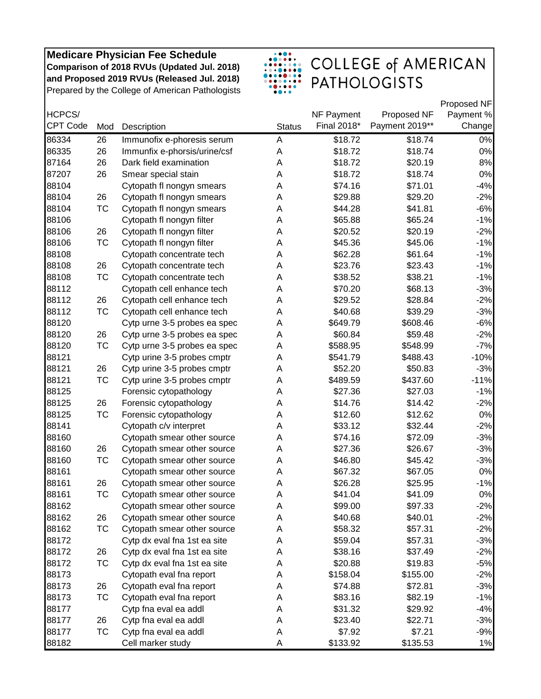

## COLLEGE of AMERICAN<br>PATHOLOGISTS

Proposed NF

|                 |           |                              |               |             |                | <b>PIODOSEG INF</b> |
|-----------------|-----------|------------------------------|---------------|-------------|----------------|---------------------|
| HCPCS/          |           |                              |               | NF Payment  | Proposed NF    | Payment %           |
| <b>CPT Code</b> | Mod       | Description                  | <b>Status</b> | Final 2018* | Payment 2019** | Change              |
| 86334           | 26        | Immunofix e-phoresis serum   | A             | \$18.72     | \$18.74        | 0%                  |
| 86335           | 26        | Immunfix e-phorsis/urine/csf | Α             | \$18.72     | \$18.74        | 0%                  |
| 87164           | 26        | Dark field examination       | Α             | \$18.72     | \$20.19        | 8%                  |
| 87207           | 26        | Smear special stain          | A             | \$18.72     | \$18.74        | 0%                  |
| 88104           |           | Cytopath fl nongyn smears    | Α             | \$74.16     | \$71.01        | $-4%$               |
| 88104           | 26        | Cytopath fl nongyn smears    | A             | \$29.88     | \$29.20        | $-2%$               |
| 88104           | <b>TC</b> | Cytopath fl nongyn smears    | A             | \$44.28     | \$41.81        | $-6%$               |
| 88106           |           | Cytopath fl nongyn filter    | A             | \$65.88     | \$65.24        | $-1%$               |
| 88106           | 26        | Cytopath fl nongyn filter    | Α             | \$20.52     | \$20.19        | $-2%$               |
| 88106           | TC        | Cytopath fl nongyn filter    | A             | \$45.36     | \$45.06        | $-1%$               |
| 88108           |           | Cytopath concentrate tech    | A             | \$62.28     | \$61.64        | $-1%$               |
| 88108           | 26        | Cytopath concentrate tech    | A             | \$23.76     | \$23.43        | $-1%$               |
| 88108           | ТC        | Cytopath concentrate tech    | A             | \$38.52     | \$38.21        | $-1%$               |
| 88112           |           | Cytopath cell enhance tech   | A             | \$70.20     | \$68.13        | $-3%$               |
| 88112           | 26        | Cytopath cell enhance tech   | Α             | \$29.52     | \$28.84        | $-2%$               |
| 88112           | ТC        | Cytopath cell enhance tech   | Α             | \$40.68     | \$39.29        | $-3%$               |
| 88120           |           | Cytp urne 3-5 probes ea spec | A             | \$649.79    | \$608.46       | $-6%$               |
| 88120           | 26        | Cytp urne 3-5 probes ea spec | A             | \$60.84     | \$59.48        | $-2%$               |
| 88120           | <b>TC</b> | Cytp urne 3-5 probes ea spec | A             | \$588.95    | \$548.99       | $-7%$               |
| 88121           |           | Cytp urine 3-5 probes cmptr  | A             | \$541.79    | \$488.43       | $-10%$              |
| 88121           | 26        | Cytp urine 3-5 probes cmptr  | Α             | \$52.20     | \$50.83        | $-3%$               |
| 88121           | <b>TC</b> | Cytp urine 3-5 probes cmptr  | A             | \$489.59    | \$437.60       | $-11%$              |
| 88125           |           | Forensic cytopathology       | Α             | \$27.36     | \$27.03        | $-1%$               |
| 88125           | 26        | Forensic cytopathology       | A             | \$14.76     | \$14.42        | $-2%$               |
| 88125           | <b>TC</b> | Forensic cytopathology       | A             | \$12.60     | \$12.62        | 0%                  |
| 88141           |           | Cytopath c/v interpret       | A             | \$33.12     | \$32.44        | $-2%$               |
| 88160           |           | Cytopath smear other source  | Α             | \$74.16     | \$72.09        | $-3%$               |
| 88160           | 26        | Cytopath smear other source  | A             | \$27.36     | \$26.67        | $-3%$               |
| 88160           | <b>TC</b> | Cytopath smear other source  | A             | \$46.80     | \$45.42        | $-3%$               |
| 88161           |           | Cytopath smear other source  | Α             | \$67.32     | \$67.05        | 0%                  |
| 88161           | 26        | Cytopath smear other source  | A             | \$26.28     | \$25.95        | $-1%$               |
| 88161           | <b>TC</b> | Cytopath smear other source  | A             | \$41.04     | \$41.09        | $0\%$               |
| 88162           |           | Cytopath smear other source  | Α             | \$99.00     | \$97.33        | $-2%$               |
| 88162           | 26        | Cytopath smear other source  | Α             | \$40.68     | \$40.01        | $-2%$               |
| 88162           | ТC        | Cytopath smear other source  | Α             | \$58.32     | \$57.31        | $-2%$               |
| 88172           |           | Cytp dx eval fna 1st ea site | A             | \$59.04     | \$57.31        | $-3%$               |
| 88172           | 26        | Cytp dx eval fna 1st ea site | Α             | \$38.16     | \$37.49        | $-2%$               |
| 88172           | <b>TC</b> | Cytp dx eval fna 1st ea site | Α             | \$20.88     | \$19.83        | $-5%$               |
| 88173           |           | Cytopath eval fna report     | Α             | \$158.04    | \$155.00       | $-2%$               |
| 88173           | 26        | Cytopath eval fna report     | Α             | \$74.88     | \$72.81        | $-3%$               |
| 88173           | ТC        | Cytopath eval fna report     | Α             | \$83.16     | \$82.19        | $-1%$               |
| 88177           |           | Cytp fna eval ea addl        | A             | \$31.32     | \$29.92        | $-4%$               |
| 88177           | 26        | Cytp fna eval ea addl        | Α             | \$23.40     | \$22.71        | $-3%$               |
| 88177           | ТC        | Cytp fna eval ea addl        | Α             | \$7.92      | \$7.21         | $-9%$               |
| 88182           |           | Cell marker study            | Α             | \$133.92    | \$135.53       | 1%                  |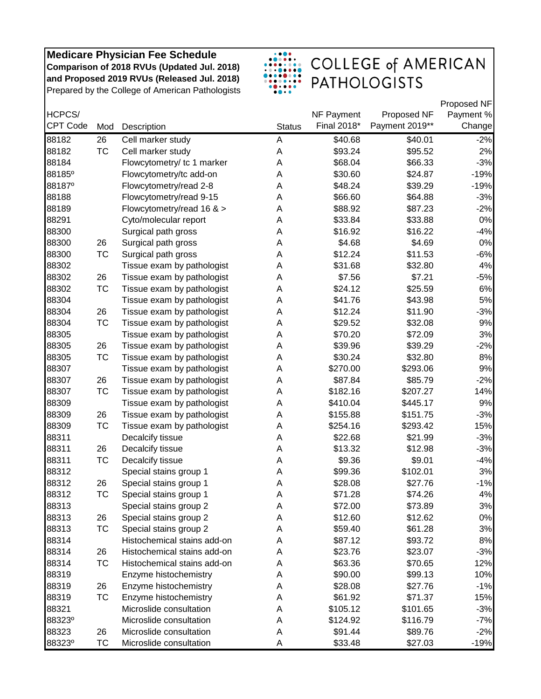

|                    |           |                             |               |                   |                | Proposed NF |
|--------------------|-----------|-----------------------------|---------------|-------------------|----------------|-------------|
| HCPCS/             |           |                             |               | <b>NF Payment</b> | Proposed NF    | Payment %   |
| <b>CPT Code</b>    | Mod       | Description                 | <b>Status</b> | Final 2018*       | Payment 2019** | Change      |
| 88182              | 26        | Cell marker study           | A             | \$40.68           | \$40.01        | $-2%$       |
| 88182              | <b>TC</b> | Cell marker study           | Α             | \$93.24           | \$95.52        | 2%          |
| 88184              |           | Flowcytometry/ tc 1 marker  | Α             | \$68.04           | \$66.33        | $-3%$       |
| 88185°             |           | Flowcytometry/tc add-on     | A             | \$30.60           | \$24.87        | $-19%$      |
| 88187 <sup>°</sup> |           | Flowcytometry/read 2-8      | A             | \$48.24           | \$39.29        | $-19%$      |
| 88188              |           | Flowcytometry/read 9-15     | A             | \$66.60           | \$64.88        | $-3%$       |
| 88189              |           | Flowcytometry/read 16 & >   | A             | \$88.92           | \$87.23        | $-2%$       |
| 88291              |           | Cyto/molecular report       | Α             | \$33.84           | \$33.88        | $0\%$       |
| 88300              |           | Surgical path gross         | Α             | \$16.92           | \$16.22        | $-4%$       |
| 88300              | 26        | Surgical path gross         | Α             | \$4.68            | \$4.69         | $0\%$       |
| 88300              | <b>TC</b> | Surgical path gross         | Α             | \$12.24           | \$11.53        | $-6%$       |
| 88302              |           | Tissue exam by pathologist  | A             | \$31.68           | \$32.80        | 4%          |
| 88302              | 26        | Tissue exam by pathologist  | Α             | \$7.56            | \$7.21         | $-5%$       |
| 88302              | TC        | Tissue exam by pathologist  | Α             | \$24.12           | \$25.59        | 6%          |
| 88304              |           | Tissue exam by pathologist  | Α             | \$41.76           | \$43.98        | 5%          |
| 88304              | 26        | Tissue exam by pathologist  | Α             | \$12.24           | \$11.90        | $-3%$       |
| 88304              | TC        | Tissue exam by pathologist  | Α             | \$29.52           | \$32.08        | 9%          |
| 88305              |           | Tissue exam by pathologist  | A             | \$70.20           | \$72.09        | 3%          |
| 88305              | 26        | Tissue exam by pathologist  | A             | \$39.96           | \$39.29        | $-2%$       |
| 88305              | TC        | Tissue exam by pathologist  | Α             | \$30.24           | \$32.80        | 8%          |
| 88307              |           | Tissue exam by pathologist  | Α             | \$270.00          | \$293.06       | 9%          |
| 88307              | 26        | Tissue exam by pathologist  | Α             | \$87.84           | \$85.79        | $-2%$       |
| 88307              | <b>TC</b> | Tissue exam by pathologist  | Α             | \$182.16          | \$207.27       | 14%         |
| 88309              |           | Tissue exam by pathologist  | Α             | \$410.04          | \$445.17       | 9%          |
| 88309              | 26        | Tissue exam by pathologist  | A             | \$155.88          | \$151.75       | $-3%$       |
| 88309              | TC        | Tissue exam by pathologist  | A             | \$254.16          | \$293.42       | 15%         |
| 88311              |           | Decalcify tissue            | Α             | \$22.68           | \$21.99        | $-3%$       |
| 88311              | 26        | Decalcify tissue            | Α             | \$13.32           | \$12.98        | $-3%$       |
| 88311              | <b>TC</b> | Decalcify tissue            | A             | \$9.36            | \$9.01         | $-4%$       |
| 88312              |           | Special stains group 1      | Α             | \$99.36           | \$102.01       | 3%          |
| 88312              | 26        | Special stains group 1      | A             | \$28.08           | \$27.76        | $-1%$       |
| 88312              | <b>TC</b> | Special stains group 1      | A             | \$71.28           | \$74.26        | 4%          |
| 88313              |           | Special stains group 2      | A             | \$72.00           | \$73.89        | 3%          |
| 88313              | 26        | Special stains group 2      | Α             | \$12.60           | \$12.62        | 0%          |
| 88313              | ТC        | Special stains group 2      | A             | \$59.40           | \$61.28        | 3%          |
| 88314              |           | Histochemical stains add-on | Α             | \$87.12           | \$93.72        | 8%          |
| 88314              | 26        | Histochemical stains add-on | Α             | \$23.76           | \$23.07        | $-3%$       |
| 88314              | TC        | Histochemical stains add-on | Α             | \$63.36           | \$70.65        | 12%         |
| 88319              |           | Enzyme histochemistry       | Α             | \$90.00           | \$99.13        | 10%         |
| 88319              | 26        | Enzyme histochemistry       | Α             | \$28.08           | \$27.76        | $-1%$       |
| 88319              | ТC        | Enzyme histochemistry       | Α             | \$61.92           | \$71.37        | 15%         |
| 88321              |           | Microslide consultation     | Α             | \$105.12          | \$101.65       | $-3%$       |
| 88323°             |           | Microslide consultation     | Α             | \$124.92          | \$116.79       | $-7%$       |
| 88323              | 26        | Microslide consultation     | A             | \$91.44           | \$89.76        | $-2%$       |
| 88323°             | ТC        | Microslide consultation     | A             | \$33.48           | \$27.03        | $-19%$      |
|                    |           |                             |               |                   |                |             |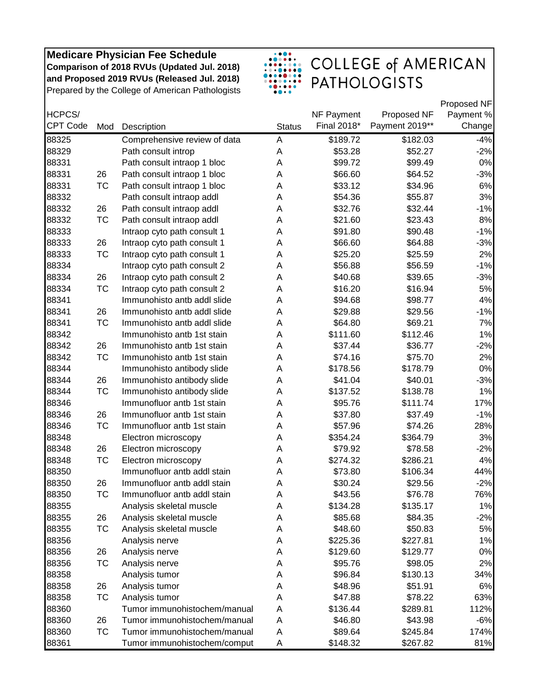

Proposed NF

| HCPCS/          |           |                                                     |               | NF Payment          | Proposed NF         | <b>FIUPUSED INF</b><br>Payment % |
|-----------------|-----------|-----------------------------------------------------|---------------|---------------------|---------------------|----------------------------------|
| <b>CPT Code</b> | Mod       | Description                                         | <b>Status</b> | Final 2018*         | Payment 2019**      | Change                           |
|                 |           |                                                     |               |                     |                     |                                  |
| 88325<br>88329  |           | Comprehensive review of data<br>Path consult introp | A             | \$189.72<br>\$53.28 | \$182.03<br>\$52.27 | $-4%$                            |
| 88331           |           |                                                     | Α<br>A        |                     |                     | $-2%$<br>0%                      |
|                 |           | Path consult intraop 1 bloc                         |               | \$99.72             | \$99.49             |                                  |
| 88331           | 26        | Path consult intraop 1 bloc                         | Α             | \$66.60             | \$64.52             | $-3%$                            |
| 88331           | TC        | Path consult intraop 1 bloc                         | A             | \$33.12             | \$34.96             | 6%                               |
| 88332           |           | Path consult intraop addl                           | A             | \$54.36             | \$55.87             | 3%                               |
| 88332           | 26        | Path consult intraop addl                           | Α             | \$32.76             | \$32.44             | $-1%$                            |
| 88332           | <b>TC</b> | Path consult intraop addl                           | A             | \$21.60             | \$23.43             | 8%                               |
| 88333           |           | Intraop cyto path consult 1                         | Α             | \$91.80             | \$90.48             | $-1%$                            |
| 88333           | 26        | Intraop cyto path consult 1                         | A             | \$66.60             | \$64.88             | $-3%$                            |
| 88333           | <b>TC</b> | Intraop cyto path consult 1                         | A             | \$25.20             | \$25.59             | 2%                               |
| 88334           |           | Intraop cyto path consult 2                         | A             | \$56.88             | \$56.59             | $-1%$                            |
| 88334           | 26        | Intraop cyto path consult 2                         | A             | \$40.68             | \$39.65             | $-3%$                            |
| 88334           | TC        | Intraop cyto path consult 2                         | A             | \$16.20             | \$16.94             | 5%                               |
| 88341           |           | Immunohisto antb addl slide                         | Α             | \$94.68             | \$98.77             | 4%                               |
| 88341           | 26        | Immunohisto antb addl slide                         | Α             | \$29.88             | \$29.56             | $-1%$                            |
| 88341           | <b>TC</b> | Immunohisto antb addl slide                         | Α             | \$64.80             | \$69.21             | 7%                               |
| 88342           |           | Immunohisto antb 1st stain                          | Α             | \$111.60            | \$112.46            | 1%                               |
| 88342           | 26        | Immunohisto antb 1st stain                          | A             | \$37.44             | \$36.77             | $-2%$                            |
| 88342           | <b>TC</b> | Immunohisto antb 1st stain                          | A             | \$74.16             | \$75.70             | 2%                               |
| 88344           |           | Immunohisto antibody slide                          | Α             | \$178.56            | \$178.79            | $0\%$                            |
| 88344           | 26        | Immunohisto antibody slide                          | Α             | \$41.04             | \$40.01             | $-3%$                            |
| 88344           | <b>TC</b> | Immunohisto antibody slide                          | A             | \$137.52            | \$138.78            | 1%                               |
| 88346           |           | Immunofluor antb 1st stain                          | Α             | \$95.76             | \$111.74            | 17%                              |
| 88346           | 26        | Immunofluor antb 1st stain                          | A             | \$37.80             | \$37.49             | $-1%$                            |
| 88346           | TC        | Immunofluor antb 1st stain                          | A             | \$57.96             | \$74.26             | 28%                              |
| 88348           |           | Electron microscopy                                 | Α             | \$354.24            | \$364.79            | 3%                               |
| 88348           | 26        | Electron microscopy                                 | Α             | \$79.92             | \$78.58             | $-2%$                            |
| 88348           | <b>TC</b> | Electron microscopy                                 | A             | \$274.32            | \$286.21            | 4%                               |
| 88350           |           | Immunofluor antb addl stain                         | Α             | \$73.80             | \$106.34            | 44%                              |
| 88350           | 26        | Immunofluor antb addl stain                         | Α             | \$30.24             | \$29.56             | $-2%$                            |
| 88350           | <b>TC</b> | Immunofluor antb addl stain                         | A             | \$43.56             | \$76.78             | 76%                              |
| 88355           |           | Analysis skeletal muscle                            | А             | \$134.28            | \$135.17            | 1%                               |
| 88355           | 26        | Analysis skeletal muscle                            | Α             | \$85.68             | \$84.35             | $-2%$                            |
| 88355           | TC        | Analysis skeletal muscle                            | Α             | \$48.60             | \$50.83             | 5%                               |
| 88356           |           | Analysis nerve                                      | Α             | \$225.36            | \$227.81            | 1%                               |
| 88356           | 26        | Analysis nerve                                      | Α             | \$129.60            | \$129.77            | $0\%$                            |
| 88356           | TC        | Analysis nerve                                      | Α             | \$95.76             | \$98.05             | 2%                               |
| 88358           |           | Analysis tumor                                      | Α             | \$96.84             | \$130.13            | 34%                              |
| 88358           | 26        | Analysis tumor                                      | Α             | \$48.96             | \$51.91             | $6\%$                            |
| 88358           | <b>TC</b> | Analysis tumor                                      | A             | \$47.88             | \$78.22             | 63%                              |
| 88360           |           | Tumor immunohistochem/manual                        | А             | \$136.44            | \$289.81            | 112%                             |
| 88360           | 26        | Tumor immunohistochem/manual                        | A             | \$46.80             | \$43.98             | $-6%$                            |
| 88360           | <b>TC</b> | Tumor immunohistochem/manual                        | Α             | \$89.64             | \$245.84            | 174%                             |
| 88361           |           | Tumor immunohistochem/comput                        | Α             | \$148.32            | \$267.82            | 81%                              |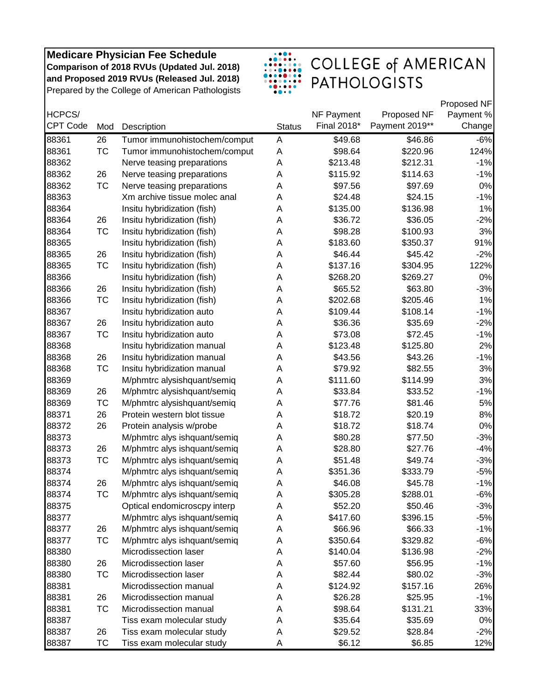

|                 |           |                              |               |             |                | Proposed NF |
|-----------------|-----------|------------------------------|---------------|-------------|----------------|-------------|
| HCPCS/          |           |                              |               | NF Payment  | Proposed NF    | Payment %   |
| <b>CPT Code</b> | Mod       | Description                  | <b>Status</b> | Final 2018* | Payment 2019** | Change      |
| 88361           | 26        | Tumor immunohistochem/comput | Α             | \$49.68     | \$46.86        | $-6%$       |
| 88361           | <b>TC</b> | Tumor immunohistochem/comput | Α             | \$98.64     | \$220.96       | 124%        |
| 88362           |           | Nerve teasing preparations   | Α             | \$213.48    | \$212.31       | $-1%$       |
| 88362           | 26        | Nerve teasing preparations   | Α             | \$115.92    | \$114.63       | $-1%$       |
| 88362           | TC        | Nerve teasing preparations   | Α             | \$97.56     | \$97.69        | $0\%$       |
| 88363           |           | Xm archive tissue molec anal | А             | \$24.48     | \$24.15        | $-1%$       |
| 88364           |           | Insitu hybridization (fish)  | A             | \$135.00    | \$136.98       | 1%          |
| 88364           | 26        | Insitu hybridization (fish)  | Α             | \$36.72     | \$36.05        | $-2%$       |
| 88364           | TC        | Insitu hybridization (fish)  | Α             | \$98.28     | \$100.93       | 3%          |
| 88365           |           | Insitu hybridization (fish)  | A             | \$183.60    | \$350.37       | 91%         |
| 88365           | 26        | Insitu hybridization (fish)  | Α             | \$46.44     | \$45.42        | $-2%$       |
| 88365           | ТC        | Insitu hybridization (fish)  | Α             | \$137.16    | \$304.95       | 122%        |
| 88366           |           | Insitu hybridization (fish)  | Α             | \$268.20    | \$269.27       | 0%          |
| 88366           | 26        | Insitu hybridization (fish)  | Α             | \$65.52     | \$63.80        | $-3%$       |
| 88366           | <b>TC</b> | Insitu hybridization (fish)  | Α             | \$202.68    | \$205.46       | 1%          |
| 88367           |           | Insitu hybridization auto    | Α             | \$109.44    | \$108.14       | $-1%$       |
| 88367           | 26        | Insitu hybridization auto    | Α             | \$36.36     | \$35.69        | $-2%$       |
| 88367           | <b>TC</b> | Insitu hybridization auto    | Α             | \$73.08     | \$72.45        | $-1%$       |
| 88368           |           | Insitu hybridization manual  | Α             | \$123.48    | \$125.80       | 2%          |
| 88368           | 26        | Insitu hybridization manual  | Α             | \$43.56     | \$43.26        | $-1%$       |
| 88368           | <b>TC</b> | Insitu hybridization manual  | A             | \$79.92     | \$82.55        | 3%          |
| 88369           |           | M/phmtrc alysishquant/semiq  | Α             | \$111.60    | \$114.99       | 3%          |
| 88369           | 26        | M/phmtrc alysishquant/semiq  | Α             | \$33.84     | \$33.52        | $-1%$       |
| 88369           | <b>TC</b> | M/phmtrc alysishquant/semiq  | Α             | \$77.76     | \$81.46        | 5%          |
| 88371           | 26        | Protein western blot tissue  | Α             | \$18.72     | \$20.19        | 8%          |
| 88372           | 26        | Protein analysis w/probe     | Α             | \$18.72     | \$18.74        | 0%          |
| 88373           |           | M/phmtrc alys ishquant/semiq | Α             | \$80.28     | \$77.50        | $-3%$       |
| 88373           | 26        | M/phmtrc alys ishquant/semiq | Α             | \$28.80     | \$27.76        | $-4%$       |
| 88373           | ТC        | M/phmtrc alys ishquant/semiq | Α             | \$51.48     | \$49.74        | $-3%$       |
| 88374           |           | M/phmtrc alys ishquant/semiq | Α             | \$351.36    | \$333.79       | $-5%$       |
| 88374           | 26        | M/phmtrc alys ishquant/semiq | А             | \$46.08     | \$45.78        | $-1%$       |
| 88374           | ТC        | M/phmtrc alys ishquant/semiq | Α             | \$305.28    | \$288.01       | $-6%$       |
| 88375           |           | Optical endomicroscpy interp | A             | \$52.20     | \$50.46        | $-3%$       |
| 88377           |           | M/phmtrc alys ishquant/semiq | Α             | \$417.60    | \$396.15       | $-5%$       |
| 88377           | 26        | M/phmtrc alys ishquant/semiq | Α             | \$66.96     | \$66.33        | $-1%$       |
| 88377           | TC        | M/phmtrc alys ishquant/semiq | A             | \$350.64    | \$329.82       | $-6%$       |
| 88380           |           | Microdissection laser        | A             | \$140.04    | \$136.98       | $-2%$       |
| 88380           | 26        | Microdissection laser        | Α             | \$57.60     | \$56.95        | $-1%$       |
| 88380           | TC        | Microdissection laser        | Α             | \$82.44     | \$80.02        | $-3%$       |
| 88381           |           | Microdissection manual       | Α             | \$124.92    | \$157.16       | 26%         |
| 88381           | 26        | Microdissection manual       | Α             | \$26.28     | \$25.95        | $-1%$       |
| 88381           | TC        | Microdissection manual       | A             | \$98.64     | \$131.21       | 33%         |
| 88387           |           | Tiss exam molecular study    | A             | \$35.64     | \$35.69        | 0%          |
| 88387           | 26        | Tiss exam molecular study    | Α             | \$29.52     | \$28.84        | $-2%$       |
| 88387           | ТC        | Tiss exam molecular study    | Α             | \$6.12      | \$6.85         | 12%         |